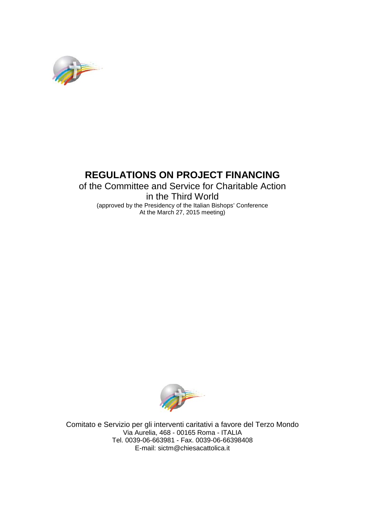

# **REGULATIONS ON PROJECT FINANCING**

## of the Committee and Service for Charitable Action in the Third World (approved by the Presidency of the Italian Bishops' Conference At the March 27, 2015 meeting)



Comitato e Servizio per gli interventi caritativi a favore del Terzo Mondo Via Aurelia, 468 - 00165 Roma - ITALIA Tel. 0039-06-663981 - Fax. 0039-06-66398408 E-mail: sictm@chiesacattolica.it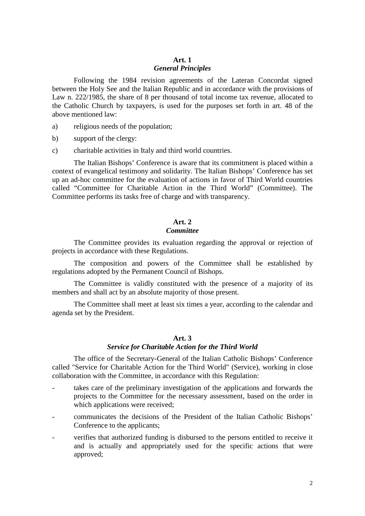## **Art. 1**

#### *General Principles*

Following the 1984 revision agreements of the Lateran Concordat signed between the Holy See and the Italian Republic and in accordance with the provisions of Law n. 222/1985, the share of 8 per thousand of total income tax revenue, allocated to the Catholic Church by taxpayers, is used for the purposes set forth in art. 48 of the above mentioned law:

- a) religious needs of the population;
- b) support of the clergy:
- c) charitable activities in Italy and third world countries.

The Italian Bishops' Conference is aware that its commitment is placed within a context of evangelical testimony and solidarity. The Italian Bishops' Conference has set up an ad-hoc committee for the evaluation of actions in favor of Third World countries called "Committee for Charitable Action in the Third World" (Committee). The Committee performs its tasks free of charge and with transparency.

## **Art. 2** *Committee*

The Committee provides its evaluation regarding the approval or rejection of projects in accordance with these Regulations.

The composition and powers of the Committee shall be established by regulations adopted by the Permanent Council of Bishops.

The Committee is validly constituted with the presence of a majority of its members and shall act by an absolute majority of those present.

The Committee shall meet at least six times a year, according to the calendar and agenda set by the President.

#### **Art. 3**

#### *Service for Charitable Action for the Third World*

The office of the Secretary-General of the Italian Catholic Bishops' Conference called "Service for Charitable Action for the Third World" (Service), working in close collaboration with the Committee, in accordance with this Regulation:

- takes care of the preliminary investigation of the applications and forwards the projects to the Committee for the necessary assessment, based on the order in which applications were received;
- communicates the decisions of the President of the Italian Catholic Bishops' Conference to the applicants;
- verifies that authorized funding is disbursed to the persons entitled to receive it and is actually and appropriately used for the specific actions that were approved;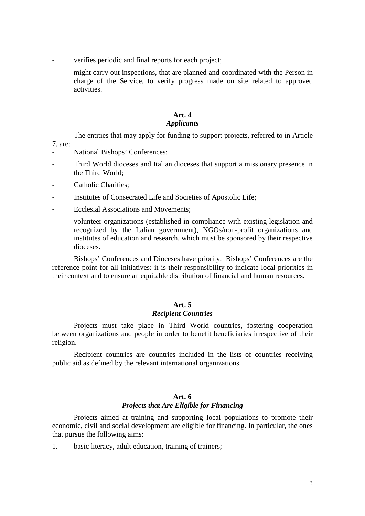- verifies periodic and final reports for each project;
- might carry out inspections, that are planned and coordinated with the Person in charge of the Service, to verify progress made on site related to approved activities.

#### **Art. 4** *Applicants*

The entities that may apply for funding to support projects, referred to in Article

- 7, are:
- National Bishops' Conferences;
- Third World dioceses and Italian dioceses that support a missionary presence in the Third World;
- Catholic Charities:
- Institutes of Consecrated Life and Societies of Apostolic Life;
- Ecclesial Associations and Movements;
- volunteer organizations (established in compliance with existing legislation and recognized by the Italian government), NGOs/non-profit organizations and institutes of education and research, which must be sponsored by their respective dioceses.

Bishops' Conferences and Dioceses have priority. Bishops' Conferences are the reference point for all initiatives: it is their responsibility to indicate local priorities in their context and to ensure an equitable distribution of financial and human resources.

## **Art. 5**

### *Recipient Countries*

Projects must take place in Third World countries, fostering cooperation between organizations and people in order to benefit beneficiaries irrespective of their religion.

Recipient countries are countries included in the lists of countries receiving public aid as defined by the relevant international organizations.

## **Art. 6**

#### *Projects that Are Eligible for Financing*

Projects aimed at training and supporting local populations to promote their economic, civil and social development are eligible for financing. In particular, the ones that pursue the following aims:

1. basic literacy, adult education, training of trainers;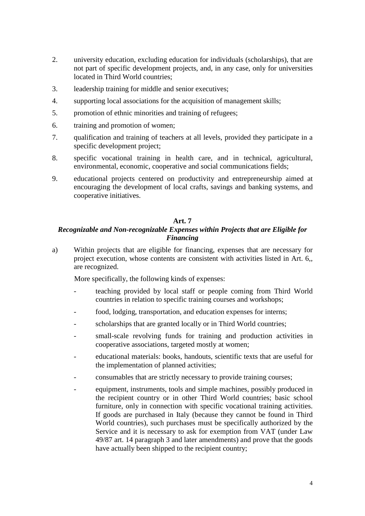- 2. university education, excluding education for individuals (scholarships), that are not part of specific development projects, and, in any case, only for universities located in Third World countries;
- 3. leadership training for middle and senior executives;
- 4. supporting local associations for the acquisition of management skills;
- 5. promotion of ethnic minorities and training of refugees;
- 6. training and promotion of women;
- 7. qualification and training of teachers at all levels, provided they participate in a specific development project;
- 8. specific vocational training in health care, and in technical, agricultural, environmental, economic, cooperative and social communications fields;
- 9. educational projects centered on productivity and entrepreneurship aimed at encouraging the development of local crafts, savings and banking systems, and cooperative initiatives.

#### **Art. 7**

## *Recognizable and Non-recognizable Expenses within Projects that are Eligible for Financing*

a) Within projects that are eligible for financing, expenses that are necessary for project execution, whose contents are consistent with activities listed in Art. 6,, are recognized.

More specifically, the following kinds of expenses:

- teaching provided by local staff or people coming from Third World countries in relation to specific training courses and workshops;
- food, lodging, transportation, and education expenses for interns;
- scholarships that are granted locally or in Third World countries;
- small-scale revolving funds for training and production activities in cooperative associations, targeted mostly at women;
- educational materials: books, handouts, scientific texts that are useful for the implementation of planned activities;
- consumables that are strictly necessary to provide training courses;
- equipment, instruments, tools and simple machines, possibly produced in the recipient country or in other Third World countries; basic school furniture, only in connection with specific vocational training activities. If goods are purchased in Italy (because they cannot be found in Third World countries), such purchases must be specifically authorized by the Service and it is necessary to ask for exemption from VAT (under Law 49/87 art. 14 paragraph 3 and later amendments) and prove that the goods have actually been shipped to the recipient country;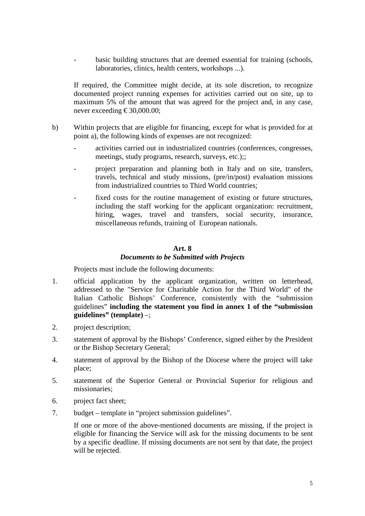basic building structures that are deemed essential for training (schools, laboratories, clinics, health centers, workshops ...).

If required, the Committee might decide, at its sole discretion, to recognize documented project running expenses for activities carried out on site, up to maximum 5% of the amount that was agreed for the project and, in any case, never exceeding  $\text{\textsterling}30,000.00$ ;

- b) Within projects that are eligible for financing, except for what is provided for at point a), the following kinds of expenses are not recognized:
	- activities carried out in industrialized countries (conferences, congresses, meetings, study programs, research, surveys, etc.);;
	- project preparation and planning both in Italy and on site, transfers, travels, technical and study missions, (pre/in/post) evaluation missions from industrialized countries to Third World countries;
	- fixed costs for the routine management of existing or future structures, including the staff working for the applicant organization: recruitment, hiring, wages, travel and transfers, social security, insurance, miscellaneous refunds, training of European nationals.

#### **Art. 8**

#### *Documents to be Submitted with Projects*

Projects must include the following documents:

- 1. official application by the applicant organization, written on letterhead, addressed to the "Service for Charitable Action for the Third World" of the Italian Catholic Bishops' Conference, consistently with the "submission guidelines" **including the statement you find in annex 1 of the "submission guidelines" (template)** –;
- 2. project description;
- 3. statement of approval by the Bishops' Conference, signed either by the President or the Bishop Secretary General;
- 4. statement of approval by the Bishop of the Diocese where the project will take place;
- 5. statement of the Superior General or Provincial Superior for religious and missionaries;
- 6. project fact sheet;
- 7. budget template in "project submission guidelines".

If one or more of the above-mentioned documents are missing, if the project is eligible for financing the Service will ask for the missing documents to be sent by a specific deadline. If missing documents are not sent by that date, the project will be rejected.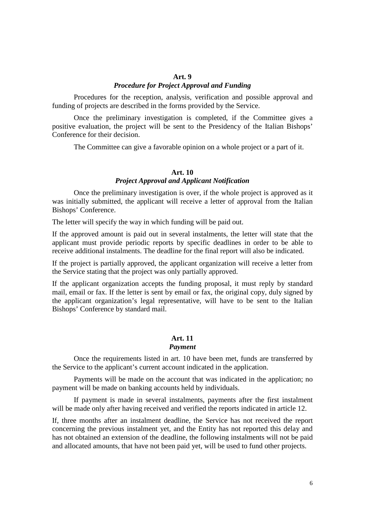#### **Art. 9**

#### *Procedure for Project Approval and Funding*

Procedures for the reception, analysis, verification and possible approval and funding of projects are described in the forms provided by the Service.

Once the preliminary investigation is completed, if the Committee gives a positive evaluation, the project will be sent to the Presidency of the Italian Bishops' Conference for their decision.

The Committee can give a favorable opinion on a whole project or a part of it.

#### **Art. 10** *Project Approval and Applicant Notification*

Once the preliminary investigation is over, if the whole project is approved as it was initially submitted, the applicant will receive a letter of approval from the Italian Bishops' Conference.

The letter will specify the way in which funding will be paid out.

If the approved amount is paid out in several instalments, the letter will state that the applicant must provide periodic reports by specific deadlines in order to be able to receive additional instalments. The deadline for the final report will also be indicated.

If the project is partially approved, the applicant organization will receive a letter from the Service stating that the project was only partially approved.

If the applicant organization accepts the funding proposal, it must reply by standard mail, email or fax. If the letter is sent by email or fax, the original copy, duly signed by the applicant organization's legal representative, will have to be sent to the Italian Bishops' Conference by standard mail.

#### **Art. 11**

### *Payment*

Once the requirements listed in art. 10 have been met, funds are transferred by the Service to the applicant's current account indicated in the application.

Payments will be made on the account that was indicated in the application; no payment will be made on banking accounts held by individuals.

If payment is made in several instalments, payments after the first instalment will be made only after having received and verified the reports indicated in article 12.

If, three months after an instalment deadline, the Service has not received the report concerning the previous instalment yet, and the Entity has not reported this delay and has not obtained an extension of the deadline, the following instalments will not be paid and allocated amounts, that have not been paid yet, will be used to fund other projects.